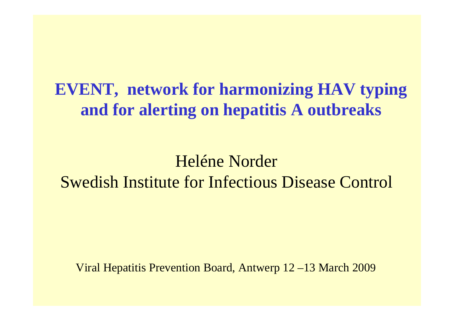**EVENT, network for harmonizing HAV typing and for alerting on hepatitis A outbreaks**

Heléne NorderSwedish Institute for Infectious Disease Control

Viral Hepatitis Prevention Board, Antwerp 12 –13 March 200 9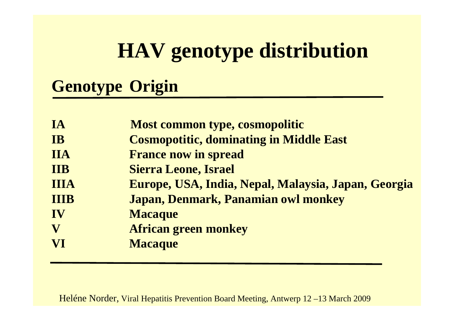# **HAV genotype distribution**

# **Genotype Origin**

| IA          | Most common type, cosmopolitic                      |
|-------------|-----------------------------------------------------|
| <b>IB</b>   | <b>Cosmopotitic, dominating in Middle East</b>      |
| <b>IIA</b>  | <b>France now in spread</b>                         |
| <b>IIB</b>  | <b>Sierra Leone, Israel</b>                         |
| <b>IIIA</b> | Europe, USA, India, Nepal, Malaysia, Japan, Georgia |
| <b>IIIB</b> | Japan, Denmark, Panamian owl monkey                 |
| IV          | <b>Macaque</b>                                      |
| V           | <b>African green monkey</b>                         |
| VI          | <b>Macaque</b>                                      |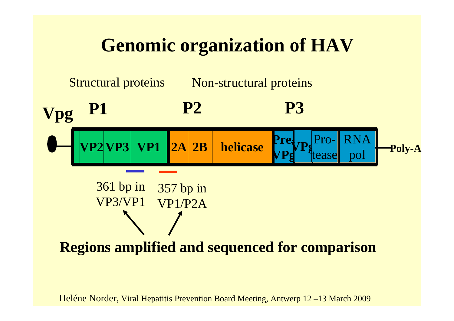# **Genomic organization of HAV**



### **Regions amplified and sequenced for comparison**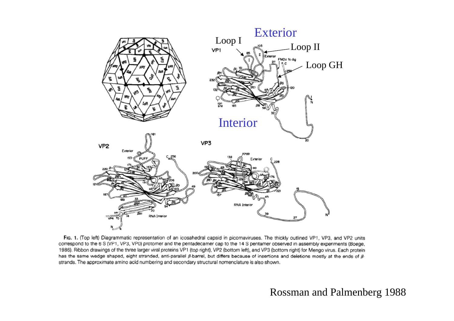

Fig. 1. (Top left) Diagrammatic representation of an icosahedral capsid in picornaviruses. The thickly outlined VP1, VP3, and VP2 units correspond to the 6 S (VP1, VP3, VP0) protomer and the pentadecamer cap to the 14 S pentamer observed in assembly experiments (Boege, 1986). Ribbon drawings of the three larger viral proteins VP1 (top right), VP2 (bottom left), and VP3 (bottom right) for Mengo virus. Each protein has the same wedge shaped, eight stranded, anti-parallel  $\beta$ -barrel, but differs because of insertions and deletions mostly at the ends of  $\beta$ strands. The approximate amino acid numbering and secondary structural nomenclature is also shown.

#### Rossman and Palmenberg 1988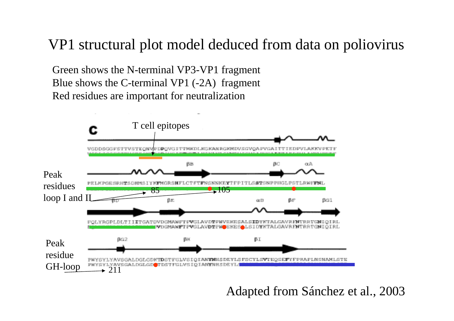# VP1 structural plot model deduced from data on poliovirus

Green shows the N-terminal VP3-VP1 fragment Blue shows the C-terminal VP1 (-2A) fragment Red residues are important for neutralization



Adapted from Sánchez et al., 2003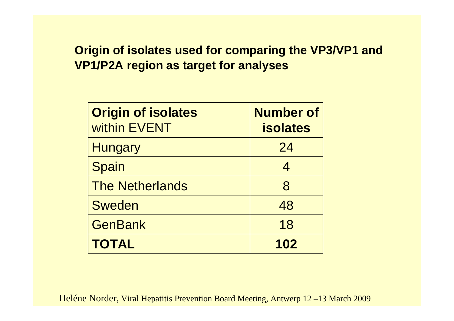#### **Origin of isolates used for comparing the VP3/VP1 and VP1/P2A region as target for analyses**

| <b>Origin of isolates</b><br>within EVENT | <b>Number of</b><br><b>isolates</b> |
|-------------------------------------------|-------------------------------------|
| <b>Hungary</b>                            | 24                                  |
| Spain                                     | $\overline{4}$                      |
| <b>The Netherlands</b>                    | 8                                   |
| <b>Sweden</b>                             | 48                                  |
| <b>GenBank</b>                            | 18                                  |
| <b>TOTAL</b>                              | 102                                 |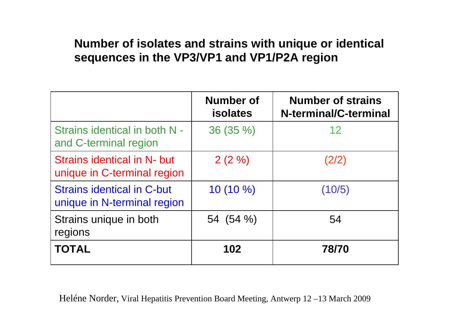#### **Number of isolates and strains with unique or identical sequences in the VP3/VP1 and VP1/P2A region**

|                                                                  | <b>Number of</b><br><b>isolates</b> | <b>Number of strains</b><br>N-terminal/C-terminal |
|------------------------------------------------------------------|-------------------------------------|---------------------------------------------------|
| Strains identical in both N -<br>and C-terminal region           | 36 (35 %)                           | 12                                                |
| Strains identical in N- but<br>unique in C-terminal region       | $2(2\%)$                            | (2/2)                                             |
| <b>Strains identical in C-but</b><br>unique in N-terminal region | $10(10\%)$                          | (10/5)                                            |
| Strains unique in both<br>regions                                | $54(54\%)$                          | 54                                                |
| <b>TOTAL</b>                                                     | 102                                 | 78/70                                             |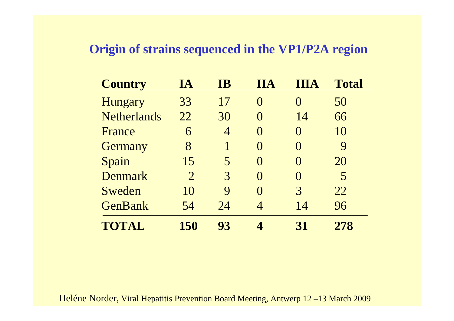#### **Origin of strains sequenced in the VP1/P2A region**

| <b>Country</b>     | IA             | <b>IB</b>        | <b>TIA</b> | <b>IIA</b>        | <b>Total</b> |
|--------------------|----------------|------------------|------------|-------------------|--------------|
| Hungary            | 33             | 17               | $\Omega$   | $\mathbf{\Omega}$ | 50           |
| <b>Netherlands</b> | 22             | 30               | 0          | 14                | 66           |
| France             | 6              | 4                | $\Omega$   | $\Omega$          | 10           |
| Germany            | 8              |                  | $\Omega$   | $\mathbf{\Omega}$ | 9            |
| Spain              | 15             | 5                | $\Omega$   | $\mathbf{\Omega}$ | 20           |
| Denmark            | $\overline{2}$ | 3                | $\Omega$   | $\Omega$          | 5            |
| Sweden             | 10             | $\boldsymbol{Q}$ | $\Omega$   | 3                 | 22           |
| <b>GenBank</b>     | 54             | 24               | 4          | 14                | 96           |
| TOTAL              | 150            | 93               |            | 31                | 278          |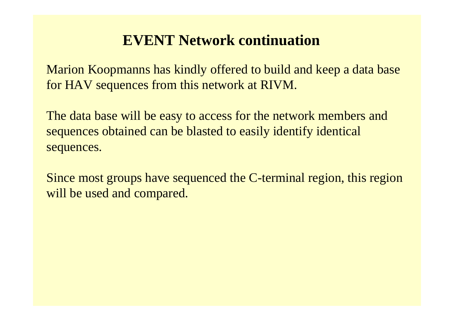## **EVENT Network continuation**

Marion Koopmanns has kindly offered to build and keep a data base for HAV sequences from this network at RIVM.

The data base will be easy to access for the network members and sequences obtained can be blasted to easily identify identical sequences.

Since most groups have sequenced the C-terminal region, this region will be used and compared.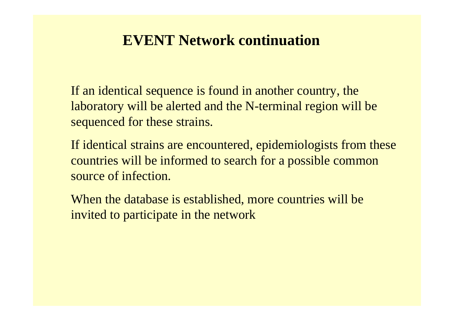### **EVENT Network continuation**

If an identical sequence is found in another country, the laboratory will be alerted and the N-terminal region will be sequenced for these strains.

If identical strains are encountered, epidemiologists from these countries will be informed to search for a possible common source of infection.

When the database is established, more countries will be invited to participate in the network